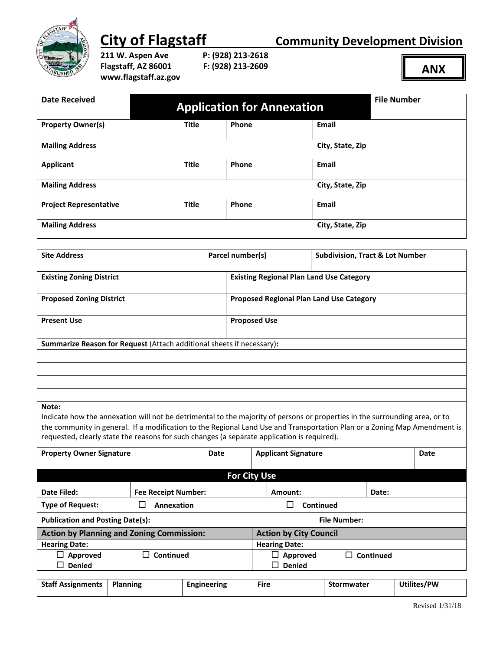

**City of Flagstaff City of Flagstaff Community Development Division** 

**211 W. Aspen Ave P: (928) 213-2618 Flagstaff, AZ 86001 F: (928) 213-2609 www.flagstaff.az.gov**

**ANX**

| <b>Date Received</b>                                                                                                                                                                                                                                                                                                                                             |                            |       |                                                 | <b>Application for Annexation</b>          |                     | <b>File Number</b> |      |  |  |
|------------------------------------------------------------------------------------------------------------------------------------------------------------------------------------------------------------------------------------------------------------------------------------------------------------------------------------------------------------------|----------------------------|-------|-------------------------------------------------|--------------------------------------------|---------------------|--------------------|------|--|--|
|                                                                                                                                                                                                                                                                                                                                                                  |                            |       |                                                 |                                            |                     |                    |      |  |  |
| <b>Property Owner(s)</b>                                                                                                                                                                                                                                                                                                                                         | <b>Title</b>               | Phone |                                                 |                                            | <b>Email</b>        |                    |      |  |  |
| <b>Mailing Address</b>                                                                                                                                                                                                                                                                                                                                           |                            |       |                                                 |                                            | City, State, Zip    |                    |      |  |  |
| <b>Applicant</b>                                                                                                                                                                                                                                                                                                                                                 | <b>Title</b>               |       | Phone                                           |                                            | <b>Email</b>        |                    |      |  |  |
| <b>Mailing Address</b>                                                                                                                                                                                                                                                                                                                                           |                            |       |                                                 |                                            |                     | City, State, Zip   |      |  |  |
| <b>Project Representative</b>                                                                                                                                                                                                                                                                                                                                    | <b>Title</b>               |       | <b>Phone</b><br>Email                           |                                            |                     |                    |      |  |  |
| <b>Mailing Address</b><br>City, State, Zip                                                                                                                                                                                                                                                                                                                       |                            |       |                                                 |                                            |                     |                    |      |  |  |
|                                                                                                                                                                                                                                                                                                                                                                  |                            |       |                                                 |                                            |                     |                    |      |  |  |
| <b>Site Address</b>                                                                                                                                                                                                                                                                                                                                              |                            |       | Parcel number(s)                                | <b>Subdivision, Tract &amp; Lot Number</b> |                     |                    |      |  |  |
| <b>Existing Zoning District</b>                                                                                                                                                                                                                                                                                                                                  |                            |       | <b>Existing Regional Plan Land Use Category</b> |                                            |                     |                    |      |  |  |
| <b>Proposed Zoning District</b>                                                                                                                                                                                                                                                                                                                                  |                            |       | <b>Proposed Regional Plan Land Use Category</b> |                                            |                     |                    |      |  |  |
| <b>Present Use</b>                                                                                                                                                                                                                                                                                                                                               |                            |       | <b>Proposed Use</b>                             |                                            |                     |                    |      |  |  |
| Summarize Reason for Request (Attach additional sheets if necessary):                                                                                                                                                                                                                                                                                            |                            |       |                                                 |                                            |                     |                    |      |  |  |
|                                                                                                                                                                                                                                                                                                                                                                  |                            |       |                                                 |                                            |                     |                    |      |  |  |
|                                                                                                                                                                                                                                                                                                                                                                  |                            |       |                                                 |                                            |                     |                    |      |  |  |
|                                                                                                                                                                                                                                                                                                                                                                  |                            |       |                                                 |                                            |                     |                    |      |  |  |
|                                                                                                                                                                                                                                                                                                                                                                  |                            |       |                                                 |                                            |                     |                    |      |  |  |
| Note:<br>Indicate how the annexation will not be detrimental to the majority of persons or properties in the surrounding area, or to<br>the community in general. If a modification to the Regional Land Use and Transportation Plan or a Zoning Map Amendment is<br>requested, clearly state the reasons for such changes (a separate application is required). |                            |       |                                                 |                                            |                     |                    |      |  |  |
| <b>Property Owner Signature</b>                                                                                                                                                                                                                                                                                                                                  |                            | Date  | <b>Applicant Signature</b>                      |                                            |                     |                    | Date |  |  |
|                                                                                                                                                                                                                                                                                                                                                                  |                            |       |                                                 |                                            |                     |                    |      |  |  |
| <b>For City Use</b>                                                                                                                                                                                                                                                                                                                                              |                            |       |                                                 |                                            |                     |                    |      |  |  |
| <b>Date Filed:</b>                                                                                                                                                                                                                                                                                                                                               | <b>Fee Receipt Number:</b> |       |                                                 | Amount:                                    |                     | Date:              |      |  |  |
| <b>Type of Request:</b>                                                                                                                                                                                                                                                                                                                                          | <b>Annexation</b><br>Ш     |       |                                                 | $\Box$                                     | Continued           |                    |      |  |  |
| <b>Publication and Posting Date(s):</b>                                                                                                                                                                                                                                                                                                                          |                            |       |                                                 |                                            | <b>File Number:</b> |                    |      |  |  |
| <b>Action by Planning and Zoning Commission:</b>                                                                                                                                                                                                                                                                                                                 |                            |       |                                                 | <b>Action by City Council</b>              |                     |                    |      |  |  |

**Hearing Date: Hearing Date: Approved Denied** □ Continued **B Continued Approved Denied Continued**

| <b>Staff Assignments</b> | <b>Planning</b> | Engineering | Fire | Stormwater | Utilites/PW |
|--------------------------|-----------------|-------------|------|------------|-------------|
|                          |                 |             |      |            |             |